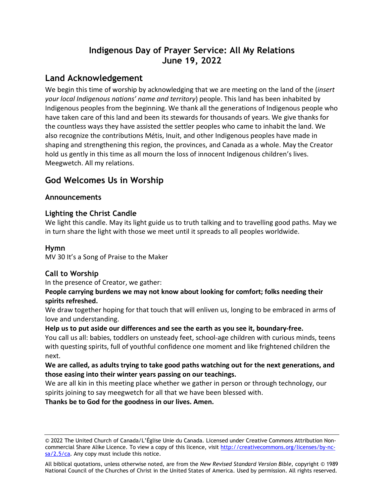# **Indigenous Day of Prayer Service: All My Relations June 19, 2022**

# **Land Acknowledgement**

We begin this time of worship by acknowledging that we are meeting on the land of the (*insert your local Indigenous nations' name and territory*) people. This land has been inhabited by Indigenous peoples from the beginning. We thank all the generations of Indigenous people who have taken care of this land and been its stewards for thousands of years. We give thanks for the countless ways they have assisted the settler peoples who came to inhabit the land. We also recognize the contributions Métis, Inuit, and other Indigenous peoples have made in shaping and strengthening this region, the provinces, and Canada as a whole. May the Creator hold us gently in this time as all mourn the loss of innocent Indigenous children's lives. Meegwetch. All my relations.

# **God Welcomes Us in Worship**

# **Announcements**

# **Lighting the Christ Candle**

We light this candle. May its light guide us to truth talking and to travelling good paths. May we in turn share the light with those we meet until it spreads to all peoples worldwide.

# **Hymn**

MV 30 It's a Song of Praise to the Maker

# **Call to Worship**

In the presence of Creator, we gather:

### **People carrying burdens we may not know about looking for comfort; folks needing their spirits refreshed.**

We draw together hoping for that touch that will enliven us, longing to be embraced in arms of love and understanding.

### **Help us to put aside our differences and see the earth as you see it, boundary-free.**

You call us all: babies, toddlers on unsteady feet, school-age children with curious minds, teens with questing spirits, full of youthful confidence one moment and like frightened children the next.

## **We are called, as adults trying to take good paths watching out for the next generations, and those easing into their winter years passing on our teachings.**

We are all kin in this meeting place whether we gather in person or through technology, our spirits joining to say meegwetch for all that we have been blessed with.

**Thanks be to God for the goodness in our lives. Amen.**

All biblical quotations, unless otherwise noted, are from the *New Revised Standard Version Bible*, copyright © 1989 National Council of the Churches of Christ in the United States of America. Used by permission. All rights reserved.

<sup>© 2022</sup> The United Church of Canada/L'Église Unie du Canada. Licensed under Creative Commons Attribution Noncommercial Share Alike Licence. To view a copy of this licence, visit [http://creativecommons.org/licenses/by-nc](http://creativecommons.org/licenses/by-nc-sa/2.5/ca)[sa/2.5/ca.](http://creativecommons.org/licenses/by-nc-sa/2.5/ca) Any copy must include this notice.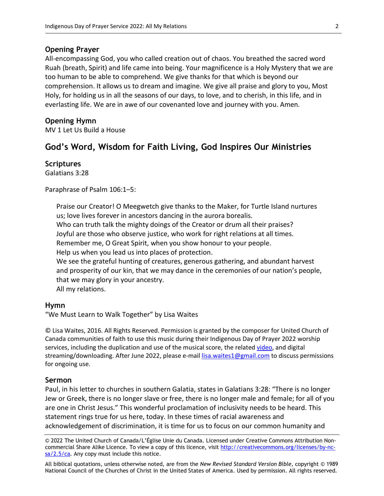#### **Opening Prayer**

All-encompassing God, you who called creation out of chaos. You breathed the sacred word Ruah (breath, Spirit) and life came into being. Your magnificence is a Holy Mystery that we are too human to be able to comprehend. We give thanks for that which is beyond our comprehension. It allows us to dream and imagine. We give all praise and glory to you, Most Holy, for holding us in all the seasons of our days, to love, and to cherish, in this life, and in everlasting life. We are in awe of our covenanted love and journey with you. Amen.

### **Opening Hymn**

MV 1 Let Us Build a House

### **God's Word, Wisdom for Faith Living, God Inspires Our Ministries**

**Scriptures**

Galatians 3:28

Paraphrase of Psalm 106:1-5:

Praise our Creator! O Meegwetch give thanks to the Maker, for Turtle Island nurtures us; love lives forever in ancestors dancing in the aurora borealis.

Who can truth talk the mighty doings of the Creator or drum all their praises?

Joyful are those who observe justice, who work for right relations at all times.

Remember me, O Great Spirit, when you show honour to your people.

Help us when you lead us into places of protection.

We see the grateful hunting of creatures, generous gathering, and abundant harvest and prosperity of our kin, that we may dance in the ceremonies of our nation's people, that we may glory in your ancestry.

All my relations.

#### **Hymn**

"We Must Learn to Walk Together" by Lisa Waites

© Lisa Waites, 2016. All Rights Reserved. Permission is granted by the composer for United Church of Canada communities of faith to use this music during their Indigenous Day of Prayer 2022 worship services, including the duplication and use of the musical score, the related [video,](https://www.youtube.com/watch?v=3DpkFCLxgEs) and digital streaming/downloading. After June 2022, please e-mail [lisa.waites1@gmail.com](mailto:lisa.waites1@gmail.com) to discuss permissions for ongoing use.

#### **Sermon**

Paul, in his letter to churches in southern Galatia, states in Galatians 3:28: "There is no longer Jew or Greek, there is no longer slave or free, there is no longer male and female; for all of you are one in Christ Jesus." This wonderful proclamation of inclusivity needs to be heard. This statement rings true for us here, today. In these times of racial awareness and acknowledgement of discrimination, it is time for us to focus on our common humanity and

© 2022 The United Church of Canada/L'Église Unie du Canada. Licensed under Creative Commons Attribution Noncommercial Share Alike Licence. To view a copy of this licence, visit [http://creativecommons.org/licenses/by-nc](about:blank)[sa/2.5/ca.](about:blank) Any copy must include this notice.

All biblical quotations, unless otherwise noted, are from the *New Revised Standard Version Bible*, copyright © 1989 National Council of the Churches of Christ in the United States of America. Used by permission. All rights reserved.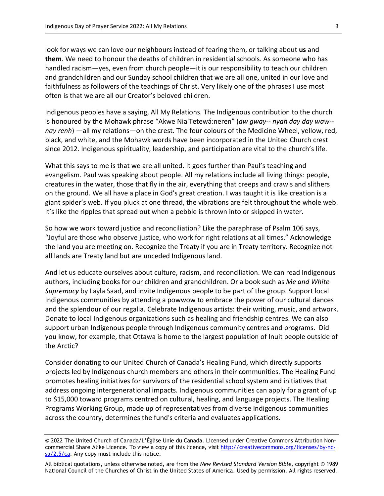look for ways we can love our neighbours instead of fearing them, or talking about **us** and **them**. We need to honour the deaths of children in residential schools. As someone who has handled racism―yes, even from church people―it is our responsibility to teach our children and grandchildren and our Sunday school children that we are all one, united in our love and faithfulness as followers of the teachings of Christ. Very likely one of the phrases I use most often is that we are all our Creator's beloved children.

Indigenous peoples have a saying, All My Relations. The Indigenous contribution to the church is honoured by the Mohawk phrase "Akwe Nia'Tetewá:neren" (*aw gway-- nyah day day waw- nay renh*) —all my relations—on the crest. The four colours of the Medicine Wheel, yellow, red, black, and white, and the Mohawk words have been incorporated in the [United Church crest](about:blank) since 2012. Indigenous spirituality, leadership, and participation are vital to the church's life.

What this says to me is that we are all united. It goes further than Paul's teaching and evangelism. Paul was speaking about people. All my relations include all living things: people, creatures in the water, those that fly in the air, everything that creeps and crawls and slithers on the ground. We all have a place in God's great creation. I was taught it is like creation is a giant spider's web. If you pluck at one thread, the vibrations are felt throughout the whole web. It's like the ripples that spread out when a pebble is thrown into or skipped in water.

So how we work toward justice and reconciliation? Like the paraphrase of Psalm 106 says, "Joyful are those who observe justice, who work for right relations at all times." Acknowledge the land you are meeting on. Recognize the Treaty if you are in Treaty territory. Recognize not all lands are Treaty land but are unceded Indigenous land.

And let us educate ourselves about culture, racism, and reconciliation. We can read Indigenous authors, including books for our children and grandchildren. Or a book such as *Me and White Supremacy* by Layla Saad, and invite Indigenous people to be part of the group. Support local Indigenous communities by attending a powwow to embrace the power of our cultural dances and the splendour of our regalia. Celebrate Indigenous artists: their writing, music, and artwork. Donate to local Indigenous organizations such as healing and friendship centres. We can also support urban Indigenous people through Indigenous community centres and programs. Did you know, for example, that Ottawa is home to the largest population of Inuit people outside of the Arctic?

Consider donating to our United Church of Canada's Healing Fund, which directly supports projects led by Indigenous church members and others in their communities. The Healing Fund promotes healing initiatives for survivors of the residential school system and initiatives that address ongoing intergenerational impacts. Indigenous communities can apply for a grant of up to \$15,000 toward programs centred on cultural, healing, and language projects. The Healing Programs Working Group, made up of representatives from diverse Indigenous communities across the country, determines the fund's criteria and evaluates applications.

<sup>© 2022</sup> The United Church of Canada/L'Église Unie du Canada. Licensed under Creative Commons Attribution Noncommercial Share Alike Licence. To view a copy of this licence, visit [http://creativecommons.org/licenses/by-nc](about:blank)[sa/2.5/ca.](about:blank) Any copy must include this notice.

All biblical quotations, unless otherwise noted, are from the *New Revised Standard Version Bible*, copyright © 1989 National Council of the Churches of Christ in the United States of America. Used by permission. All rights reserved.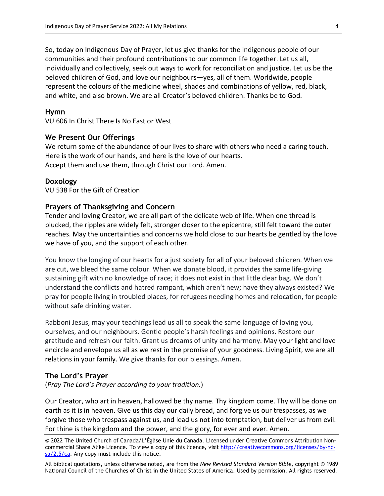So, today on Indigenous Day of Prayer, let us give thanks for the Indigenous people of our communities and their profound contributions to our common life together. Let us all, individually and collectively, seek out ways to work for reconciliation and justice. Let us be the beloved children of God, and love our neighbours―yes, all of them. Worldwide, people represent the colours of the medicine wheel, shades and combinations of yellow, red, black, and white, and also brown. We are all Creator's beloved children. Thanks be to God.

#### **Hymn**

VU 606 In Christ There Is No East or West

### **We Present Our Offerings**

We return some of the abundance of our lives to share with others who need a caring touch. Here is the work of our hands, and here is the love of our hearts. Accept them and use them, through Christ our Lord. Amen.

#### **Doxology**

VU 538 For the Gift of Creation

#### **Prayers of Thanksgiving and Concern**

Tender and loving Creator, we are all part of the delicate web of life. When one thread is plucked, the ripples are widely felt, stronger closer to the epicentre, still felt toward the outer reaches. May the uncertainties and concerns we hold close to our hearts be gentled by the love we have of you, and the support of each other.

You know the longing of our hearts for a just society for all of your beloved children. When we are cut, we bleed the same colour. When we donate blood, it provides the same life-giving sustaining gift with no knowledge of race; it does not exist in that little clear bag. We don't understand the conflicts and hatred rampant, which aren't new; have they always existed? We pray for people living in troubled places, for refugees needing homes and relocation, for people without safe drinking water.

Rabboni Jesus, may your teachings lead us all to speak the same language of loving you, ourselves, and our neighbours. Gentle people's harsh feelings and opinions. Restore our gratitude and refresh our faith. Grant us dreams of unity and harmony. May your light and love encircle and envelope us all as we rest in the promise of your goodness. Living Spirit, we are all relations in your family. We give thanks for our blessings. Amen.

### **The Lord's Prayer**

(*Pray The Lord's Prayer according to your tradition.*)

Our Creator, who art in heaven, hallowed be thy name. Thy kingdom come. Thy will be done on earth as it is in heaven. Give us this day our daily bread, and forgive us our trespasses, as we forgive those who trespass against us, and lead us not into temptation, but deliver us from evil. For thine is the kingdom and the power, and the glory, for ever and ever. Amen.

© 2022 The United Church of Canada/L'Église Unie du Canada. Licensed under Creative Commons Attribution Noncommercial Share Alike Licence. To view a copy of this licence, visit [http://creativecommons.org/licenses/by-nc](about:blank)[sa/2.5/ca.](about:blank) Any copy must include this notice.

All biblical quotations, unless otherwise noted, are from the *New Revised Standard Version Bible*, copyright © 1989 National Council of the Churches of Christ in the United States of America. Used by permission. All rights reserved.